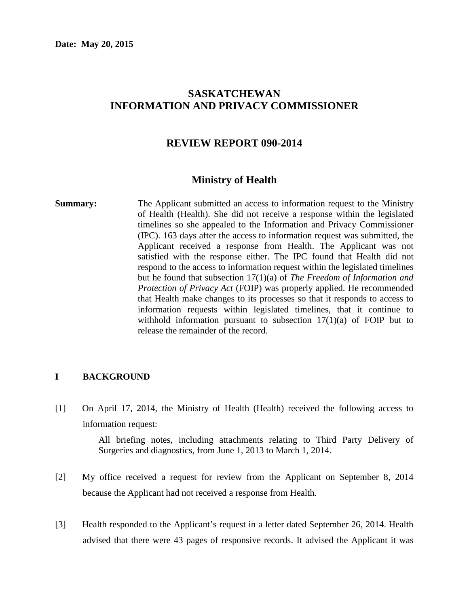# **SASKATCHEWAN INFORMATION AND PRIVACY COMMISSIONER**

### **REVIEW REPORT 090-2014**

#### **Ministry of Health**

**Summary:** The Applicant submitted an access to information request to the Ministry of Health (Health). She did not receive a response within the legislated timelines so she appealed to the Information and Privacy Commissioner (IPC). 163 days after the access to information request was submitted, the Applicant received a response from Health. The Applicant was not satisfied with the response either. The IPC found that Health did not respond to the access to information request within the legislated timelines but he found that subsection 17(1)(a) of *The Freedom of Information and Protection of Privacy Act* (FOIP) was properly applied. He recommended that Health make changes to its processes so that it responds to access to information requests within legislated timelines, that it continue to withhold information pursuant to subsection  $17(1)(a)$  of FOIP but to release the remainder of the record.

#### **I BACKGROUND**

[1] On April 17, 2014, the Ministry of Health (Health) received the following access to information request:

> All briefing notes, including attachments relating to Third Party Delivery of Surgeries and diagnostics, from June 1, 2013 to March 1, 2014.

- [2] My office received a request for review from the Applicant on September 8, 2014 because the Applicant had not received a response from Health.
- [3] Health responded to the Applicant's request in a letter dated September 26, 2014. Health advised that there were 43 pages of responsive records. It advised the Applicant it was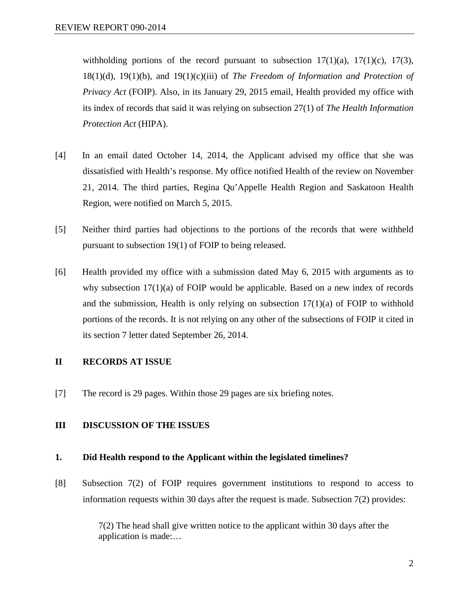withholding portions of the record pursuant to subsection  $17(1)(a)$ ,  $17(1)(c)$ ,  $17(3)$ , 18(1)(d), 19(1)(b), and 19(1)(c)(iii) of *The Freedom of Information and Protection of Privacy Act* (FOIP). Also, in its January 29, 2015 email, Health provided my office with its index of records that said it was relying on subsection 27(1) of *The Health Information Protection Act* (HIPA).

- [4] In an email dated October 14, 2014, the Applicant advised my office that she was dissatisfied with Health's response. My office notified Health of the review on November 21, 2014. The third parties, Regina Qu'Appelle Health Region and Saskatoon Health Region, were notified on March 5, 2015.
- [5] Neither third parties had objections to the portions of the records that were withheld pursuant to subsection 19(1) of FOIP to being released.
- [6] Health provided my office with a submission dated May 6, 2015 with arguments as to why subsection  $17(1)(a)$  of FOIP would be applicable. Based on a new index of records and the submission, Health is only relying on subsection  $17(1)(a)$  of FOIP to withhold portions of the records. It is not relying on any other of the subsections of FOIP it cited in its section 7 letter dated September 26, 2014.

# **II RECORDS AT ISSUE**

[7] The record is 29 pages. Within those 29 pages are six briefing notes.

#### **III DISCUSSION OF THE ISSUES**

#### **1. Did Health respond to the Applicant within the legislated timelines?**

[8] Subsection 7(2) of FOIP requires government institutions to respond to access to information requests within 30 days after the request is made. Subsection 7(2) provides:

> 7(2) The head shall give written notice to the applicant within 30 days after the application is made:…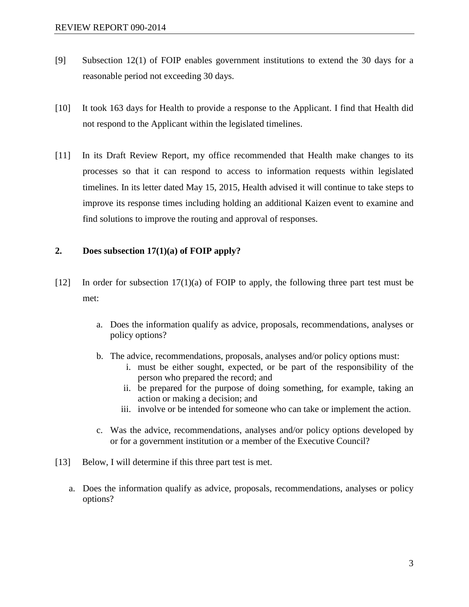- [9] Subsection 12(1) of FOIP enables government institutions to extend the 30 days for a reasonable period not exceeding 30 days.
- [10] It took 163 days for Health to provide a response to the Applicant. I find that Health did not respond to the Applicant within the legislated timelines.
- [11] In its Draft Review Report, my office recommended that Health make changes to its processes so that it can respond to access to information requests within legislated timelines. In its letter dated May 15, 2015, Health advised it will continue to take steps to improve its response times including holding an additional Kaizen event to examine and find solutions to improve the routing and approval of responses.

### **2. Does subsection 17(1)(a) of FOIP apply?**

- [12] In order for subsection 17(1)(a) of FOIP to apply, the following three part test must be met:
	- a. Does the information qualify as advice, proposals, recommendations, analyses or policy options?
	- b. The advice, recommendations, proposals, analyses and/or policy options must:
		- i. must be either sought, expected, or be part of the responsibility of the person who prepared the record; and
		- ii. be prepared for the purpose of doing something, for example, taking an action or making a decision; and
		- iii. involve or be intended for someone who can take or implement the action.
	- c. Was the advice, recommendations, analyses and/or policy options developed by or for a government institution or a member of the Executive Council?
- [13] Below, I will determine if this three part test is met.
	- a. Does the information qualify as advice, proposals, recommendations, analyses or policy options?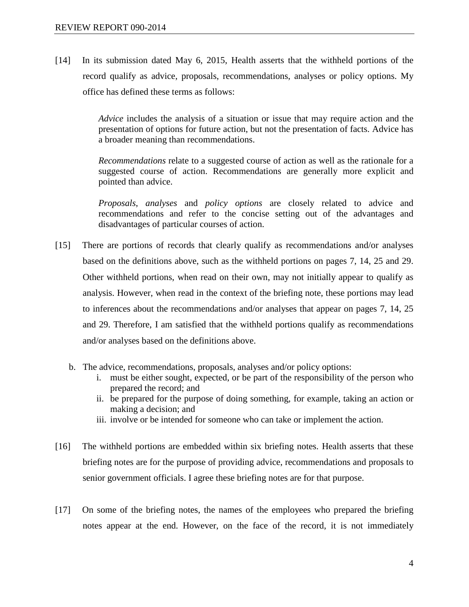[14] In its submission dated May 6, 2015, Health asserts that the withheld portions of the record qualify as advice, proposals, recommendations, analyses or policy options. My office has defined these terms as follows:

> *Advice* includes the analysis of a situation or issue that may require action and the presentation of options for future action, but not the presentation of facts. Advice has a broader meaning than recommendations.

> *Recommendations* relate to a suggested course of action as well as the rationale for a suggested course of action. Recommendations are generally more explicit and pointed than advice.

> *Proposals*, *analyses* and *policy options* are closely related to advice and recommendations and refer to the concise setting out of the advantages and disadvantages of particular courses of action.

- [15] There are portions of records that clearly qualify as recommendations and/or analyses based on the definitions above, such as the withheld portions on pages 7, 14, 25 and 29. Other withheld portions, when read on their own, may not initially appear to qualify as analysis. However, when read in the context of the briefing note, these portions may lead to inferences about the recommendations and/or analyses that appear on pages 7, 14, 25 and 29. Therefore, I am satisfied that the withheld portions qualify as recommendations and/or analyses based on the definitions above.
	- b. The advice, recommendations, proposals, analyses and/or policy options:
		- i. must be either sought, expected, or be part of the responsibility of the person who prepared the record; and
		- ii. be prepared for the purpose of doing something, for example, taking an action or making a decision; and
		- iii. involve or be intended for someone who can take or implement the action.
- [16] The withheld portions are embedded within six briefing notes. Health asserts that these briefing notes are for the purpose of providing advice, recommendations and proposals to senior government officials. I agree these briefing notes are for that purpose.
- [17] On some of the briefing notes, the names of the employees who prepared the briefing notes appear at the end. However, on the face of the record, it is not immediately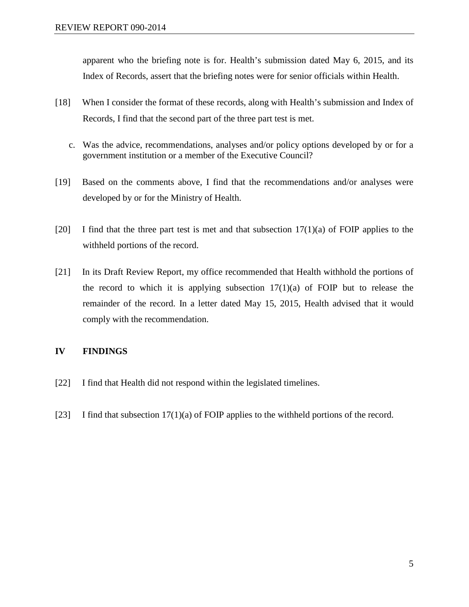apparent who the briefing note is for. Health's submission dated May 6, 2015, and its Index of Records, assert that the briefing notes were for senior officials within Health.

- [18] When I consider the format of these records, along with Health's submission and Index of Records, I find that the second part of the three part test is met.
	- c. Was the advice, recommendations, analyses and/or policy options developed by or for a government institution or a member of the Executive Council?
- [19] Based on the comments above, I find that the recommendations and/or analyses were developed by or for the Ministry of Health.
- [20] I find that the three part test is met and that subsection  $17(1)(a)$  of FOIP applies to the withheld portions of the record.
- [21] In its Draft Review Report, my office recommended that Health withhold the portions of the record to which it is applying subsection  $17(1)(a)$  of FOIP but to release the remainder of the record. In a letter dated May 15, 2015, Health advised that it would comply with the recommendation.

# **IV FINDINGS**

- [22] I find that Health did not respond within the legislated timelines.
- [23] I find that subsection 17(1)(a) of FOIP applies to the withheld portions of the record.